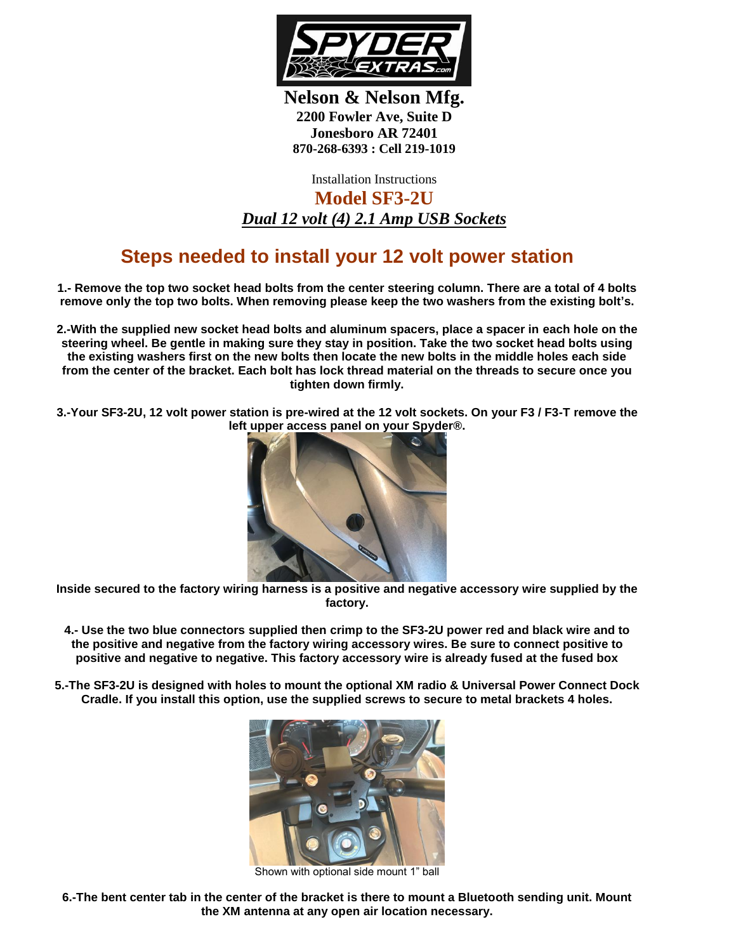

**Nelson & Nelson Mfg. 2200 Fowler Ave, Suite D Jonesboro AR 72401 870-268-6393 : Cell 219-1019**

Installation Instructions **Model SF3-2U** *Dual 12 volt (4) 2.1 Amp USB Sockets*

## **Steps needed to install your 12 volt power station**

**1.- Remove the top two socket head bolts from the center steering column. There are a total of 4 bolts remove only the top two bolts. When removing please keep the two washers from the existing bolt's.**

**2.-With the supplied new socket head bolts and aluminum spacers, place a spacer in each hole on the steering wheel. Be gentle in making sure they stay in position. Take the two socket head bolts using the existing washers first on the new bolts then locate the new bolts in the middle holes each side from the center of the bracket. Each bolt has lock thread material on the threads to secure once you tighten down firmly.**

**3.-Your SF3-2U, 12 volt power station is pre-wired at the 12 volt sockets. On your F3 / F3-T remove the left upper access panel on your Spyder®.** 



**Inside secured to the factory wiring harness is a positive and negative accessory wire supplied by the factory.**

**4.- Use the two blue connectors supplied then crimp to the SF3-2U power red and black wire and to the positive and negative from the factory wiring accessory wires. Be sure to connect positive to positive and negative to negative. This factory accessory wire is already fused at the fused box**

**5.-The SF3-2U is designed with holes to mount the optional XM radio & Universal Power Connect Dock Cradle. If you install this option, use the supplied screws to secure to metal brackets 4 holes.**



Shown with optional side mount 1" ball

**6.-The bent center tab in the center of the bracket is there to mount a Bluetooth sending unit. Mount the XM antenna at any open air location necessary.**